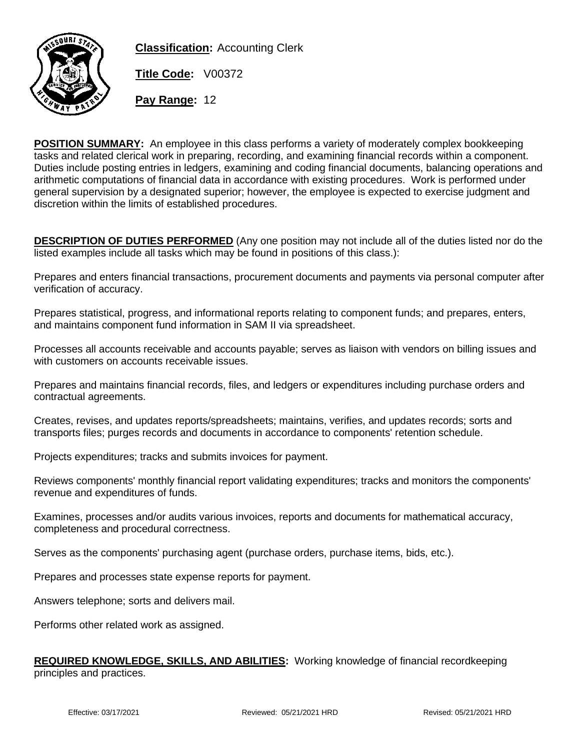

**Classification:** Accounting Clerk

**Title Code:** V00372

**Pay Range:** 12

**POSITION SUMMARY:** An employee in this class performs a variety of moderately complex bookkeeping tasks and related clerical work in preparing, recording, and examining financial records within a component. Duties include posting entries in ledgers, examining and coding financial documents, balancing operations and arithmetic computations of financial data in accordance with existing procedures. Work is performed under general supervision by a designated superior; however, the employee is expected to exercise judgment and discretion within the limits of established procedures.

**DESCRIPTION OF DUTIES PERFORMED** (Any one position may not include all of the duties listed nor do the listed examples include all tasks which may be found in positions of this class.):

Prepares and enters financial transactions, procurement documents and payments via personal computer after verification of accuracy.

Prepares statistical, progress, and informational reports relating to component funds; and prepares, enters, and maintains component fund information in SAM II via spreadsheet.

Processes all accounts receivable and accounts payable; serves as liaison with vendors on billing issues and with customers on accounts receivable issues.

Prepares and maintains financial records, files, and ledgers or expenditures including purchase orders and contractual agreements.

Creates, revises, and updates reports/spreadsheets; maintains, verifies, and updates records; sorts and transports files; purges records and documents in accordance to components' retention schedule.

Projects expenditures; tracks and submits invoices for payment.

Reviews components' monthly financial report validating expenditures; tracks and monitors the components' revenue and expenditures of funds.

Examines, processes and/or audits various invoices, reports and documents for mathematical accuracy, completeness and procedural correctness.

Serves as the components' purchasing agent (purchase orders, purchase items, bids, etc.).

Prepares and processes state expense reports for payment.

Answers telephone; sorts and delivers mail.

Performs other related work as assigned.

## **REQUIRED KNOWLEDGE, SKILLS, AND ABILITIES:** Working knowledge of financial recordkeeping principles and practices.